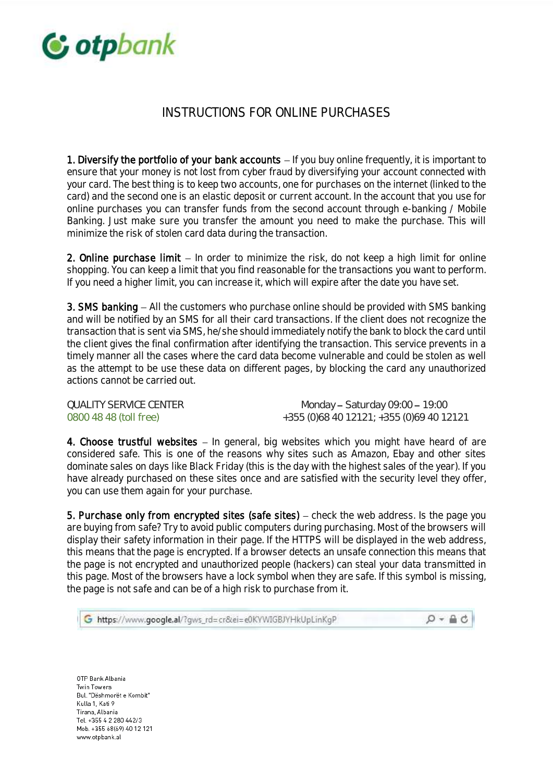

## INSTRUCTIONS FOR ONLINE PURCHASES

1. Diversify the portfolio of your bank accounts  $-$  If you buy online frequently, it is important to ensure that your money is not lost from cyber fraud by diversifying your account connected with your card. The best thing is to keep two accounts, one for purchases on the internet (linked to the card) and the second one is an elastic deposit or current account. In the account that you use for online purchases you can transfer funds from the second account through e-banking / Mobile Banking. Just make sure you transfer the amount you need to make the purchase. This will minimize the risk of stolen card data during the transaction.

2. Online purchase limit  $-$  In order to minimize the risk, do not keep a high limit for online shopping. You can keep a limit that you find reasonable for the transactions you want to perform. If you need a higher limit, you can increase it, which will expire after the date you have set.

3. SMS banking  $-$  All the customers who purchase online should be provided with SMS banking and will be notified by an SMS for all their card transactions. If the client does not recognize the transaction that is sent via SMS, he/she should immediately notify the bank to block the card until the client gives the final confirmation after identifying the transaction. This service prevents in a timely manner all the cases where the card data become vulnerable and could be stolen as well as the attempt to be use these data on different pages, by blocking the card any unauthorized actions cannot be carried out.

QUALITY SERVICE CENTER Monday - Saturday 09:00 - 19:00 0800 48 48 (toll free) +355 (0)68 40 12121; +355 (0)69 40 12121

4. Choose trustful websites  $-$  In general, big websites which you might have heard of are considered safe. This is one of the reasons why sites such as Amazon, Ebay and other sites dominate sales on days like Black Friday (this is the day with the highest sales of the year). If you have already purchased on these sites once and are satisfied with the security level they offer, you can use them again for your purchase.

5. Purchase only from encrypted sites (safe sites)  $-$  check the web address. Is the page you are buying from safe? Try to avoid public computers during purchasing. Most of the browsers will display their safety information in their page. If the HTTPS will be displayed in the web address, this means that the page is encrypted. If a browser detects an unsafe connection this means that the page is not encrypted and unauthorized people (hackers) can steal your data transmitted in this page. Most of the browsers have a lock symbol when they are safe. If this symbol is missing, the page is not safe and can be of a high risk to purchase from it.

| 6 https://www.google.al/?gws_rd=cr&ei=e0KYWIGBJYHkUpLinKgP | $Q - \triangle$ d |
|------------------------------------------------------------|-------------------|
|------------------------------------------------------------|-------------------|

OTP Bank Albania Twin Towers Bul. "Dëshmorët e Kombit" Kulla 1, Kati 9 Tirana, Albania Tel. +355 4 2 280 442/3 Mob. +355 68(69) 40 12 121 www.otpbank.al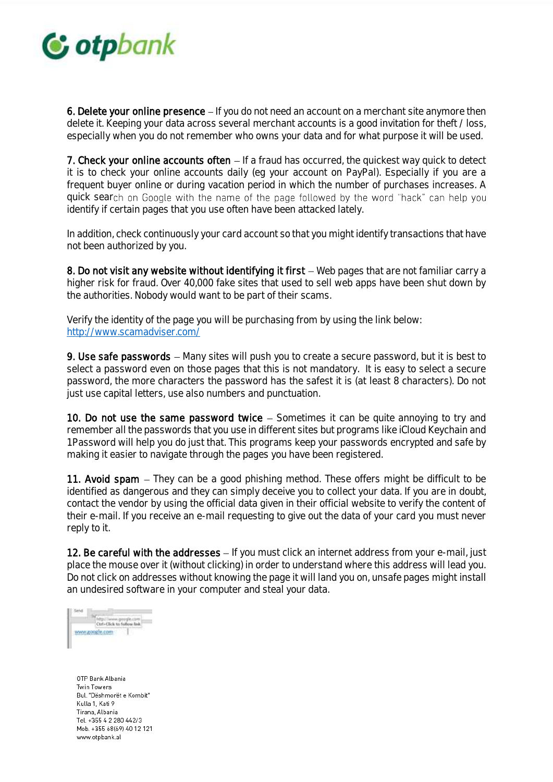

6. Delete your online presence  $-If$  you do not need an account on a merchant site anymore then delete it. Keeping your data across several merchant accounts is a good invitation for theft / loss, especially when you do not remember who owns your data and for what purpose it will be used.

7. Check your online accounts often  $-$  If a fraud has occurred, the quickest way quick to detect it is to check your online accounts daily (eg your account on PayPal). Especially if you are a frequent buyer online or during vacation period in which the number of purchases increases. A quick search on Google with the name of the page followed by the word "hack" can help you identify if certain pages that you use often have been attacked lately.

In addition, check continuously your card account so that you might identify transactions that have not been authorized by you.

8. Do not visit any website without identifying it first  $-$  Web pages that are not familiar carry a higher risk for fraud. Over 40,000 fake sites that used to sell web apps have been shut down by the authorities. Nobody would want to be part of their scams.

Verify the identity of the page you will be purchasing from by using the link below: <http://www.scamadviser.com/>

9. Use safe passwords – Many sites will push you to create a secure password, but it is best to select a password even on those pages that this is not mandatory. It is easy to select a secure password, the more characters the password has the safest it is (at least 8 characters). Do not just use capital letters, use also numbers and punctuation.

10. Do not use the same password twice  $-$  Sometimes it can be quite annoying to try and remember all the passwords that you use in different sites but programs like iCloud Keychain and 1Password will help you do just that. This programs keep your passwords encrypted and safe by making it easier to navigate through the pages you have been registered.

11. Avoid spam  $-$  They can be a good phishing method. These offers might be difficult to be identified as dangerous and they can simply deceive you to collect your data. If you are in doubt, contact the vendor by using the official data given in their official website to verify the content of their e-mail. If you receive an e-mail requesting to give out the data of your card you must never reply to it.

12. Be careful with the addresses  $-$  If you must click an internet address from your e-mail, just place the mouse over it (without clicking) in order to understand where this address will lead you. Do not click on addresses without knowing the page it will land you on, unsafe pages might install an undesired software in your computer and steal your data.

Send http://www.gougle.com<br>Ctrl+Click to follow link 71 www.google.com

OTP Bank Albania Twin Towers Bul. "Dëshmorët e Kombit" Kulla 1, Kati 9 Tirana, Albania Tel. +355 4 2 280 442/3 Mob. +355 68(69) 40 12 121 www.otpbank.al